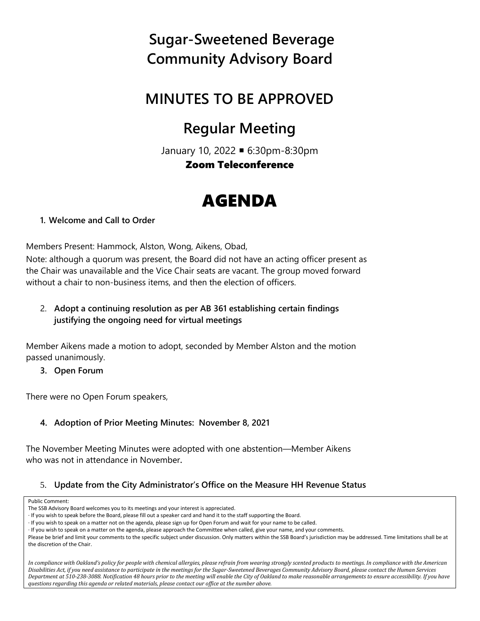### **MINUTES TO BE APPROVED**

### **Regular Meeting**

January 10, 2022 6:30pm-8:30pm Zoom Teleconference

# AGENDA

**1. Welcome and Call to Order**

Members Present: Hammock, Alston, Wong, Aikens, Obad,

Note: although a quorum was present, the Board did not have an acting officer present as the Chair was unavailable and the Vice Chair seats are vacant. The group moved forward without a chair to non-business items, and then the election of officers.

2. **Adopt a continuing resolution as per AB 361 establishing certain findings justifying the ongoing need for virtual meetings**

Member Aikens made a motion to adopt, seconded by Member Alston and the motion passed unanimously.

**3. Open Forum**

There were no Open Forum speakers,

### **4. Adoption of Prior Meeting Minutes: November 8, 2021**

The November Meeting Minutes were adopted with one abstention—Member Aikens who was not in attendance in November**.**

### 5. **Update from the City Administrator's Office on the Measure HH Revenue Status**

Public Comment:

*In compliance with Oakland's policy for people with chemical allergies, please refrain from wearing strongly scented products to meetings. In compliance with the American Disabilities Act, if you need assistance to participate in the meetings for the Sugar-Sweetened Beverages Community Advisory Board, please contact the Human Services Department at 510-238-3088. Notification 48 hours prior to the meeting will enable the City of Oakland to make reasonable arrangements to ensure accessibility. If you have questions regarding this agenda or related materials, please contact our office at the number above.*

The SSB Advisory Board welcomes you to its meetings and your interest is appreciated.

<sup>·</sup> If you wish to speak before the Board, please fill out a speaker card and hand it to the staff supporting the Board.

<sup>·</sup> If you wish to speak on a matter not on the agenda, please sign up for Open Forum and wait for your name to be called.

<sup>·</sup> If you wish to speak on a matter on the agenda, please approach the Committee when called, give your name, and your comments.

Please be brief and limit your comments to the specific subject under discussion. Only matters within the SSB Board's jurisdiction may be addressed. Time limitations shall be at the discretion of the Chair.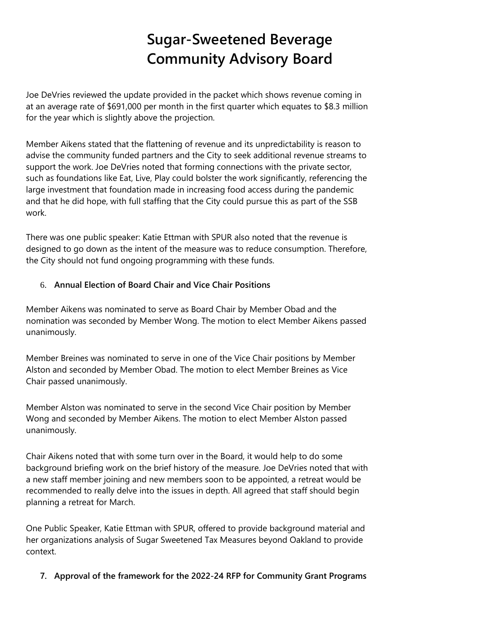Joe DeVries reviewed the update provided in the packet which shows revenue coming in at an average rate of \$691,000 per month in the first quarter which equates to \$8.3 million for the year which is slightly above the projection.

Member Aikens stated that the flattening of revenue and its unpredictability is reason to advise the community funded partners and the City to seek additional revenue streams to support the work. Joe DeVries noted that forming connections with the private sector, such as foundations like Eat, Live, Play could bolster the work significantly, referencing the large investment that foundation made in increasing food access during the pandemic and that he did hope, with full staffing that the City could pursue this as part of the SSB work.

There was one public speaker: Katie Ettman with SPUR also noted that the revenue is designed to go down as the intent of the measure was to reduce consumption. Therefore, the City should not fund ongoing programming with these funds.

#### 6. **Annual Election of Board Chair and Vice Chair Positions**

Member Aikens was nominated to serve as Board Chair by Member Obad and the nomination was seconded by Member Wong. The motion to elect Member Aikens passed unanimously.

Member Breines was nominated to serve in one of the Vice Chair positions by Member Alston and seconded by Member Obad. The motion to elect Member Breines as Vice Chair passed unanimously.

Member Alston was nominated to serve in the second Vice Chair position by Member Wong and seconded by Member Aikens. The motion to elect Member Alston passed unanimously.

Chair Aikens noted that with some turn over in the Board, it would help to do some background briefing work on the brief history of the measure. Joe DeVries noted that with a new staff member joining and new members soon to be appointed, a retreat would be recommended to really delve into the issues in depth. All agreed that staff should begin planning a retreat for March.

One Public Speaker, Katie Ettman with SPUR, offered to provide background material and her organizations analysis of Sugar Sweetened Tax Measures beyond Oakland to provide context.

**7. Approval of the framework for the 2022-24 RFP for Community Grant Programs**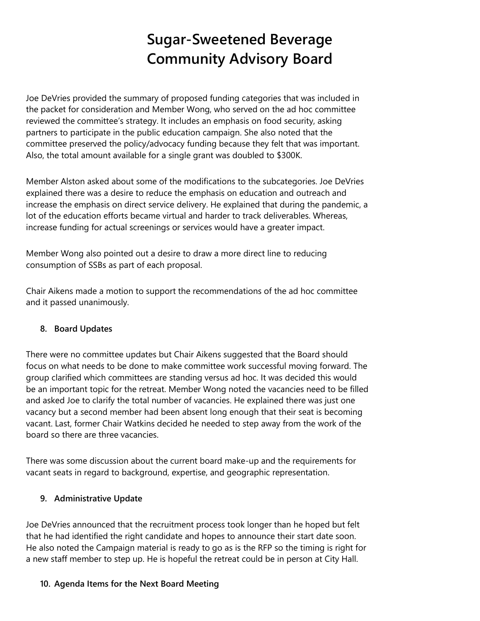Joe DeVries provided the summary of proposed funding categories that was included in the packet for consideration and Member Wong, who served on the ad hoc committee reviewed the committee's strategy. It includes an emphasis on food security, asking partners to participate in the public education campaign. She also noted that the committee preserved the policy/advocacy funding because they felt that was important. Also, the total amount available for a single grant was doubled to \$300K.

Member Alston asked about some of the modifications to the subcategories. Joe DeVries explained there was a desire to reduce the emphasis on education and outreach and increase the emphasis on direct service delivery. He explained that during the pandemic, a lot of the education efforts became virtual and harder to track deliverables. Whereas, increase funding for actual screenings or services would have a greater impact.

Member Wong also pointed out a desire to draw a more direct line to reducing consumption of SSBs as part of each proposal.

Chair Aikens made a motion to support the recommendations of the ad hoc committee and it passed unanimously.

### **8. Board Updates**

There were no committee updates but Chair Aikens suggested that the Board should focus on what needs to be done to make committee work successful moving forward. The group clarified which committees are standing versus ad hoc. It was decided this would be an important topic for the retreat. Member Wong noted the vacancies need to be filled and asked Joe to clarify the total number of vacancies. He explained there was just one vacancy but a second member had been absent long enough that their seat is becoming vacant. Last, former Chair Watkins decided he needed to step away from the work of the board so there are three vacancies.

There was some discussion about the current board make-up and the requirements for vacant seats in regard to background, expertise, and geographic representation.

#### **9. Administrative Update**

Joe DeVries announced that the recruitment process took longer than he hoped but felt that he had identified the right candidate and hopes to announce their start date soon. He also noted the Campaign material is ready to go as is the RFP so the timing is right for a new staff member to step up. He is hopeful the retreat could be in person at City Hall.

#### **10. Agenda Items for the Next Board Meeting**